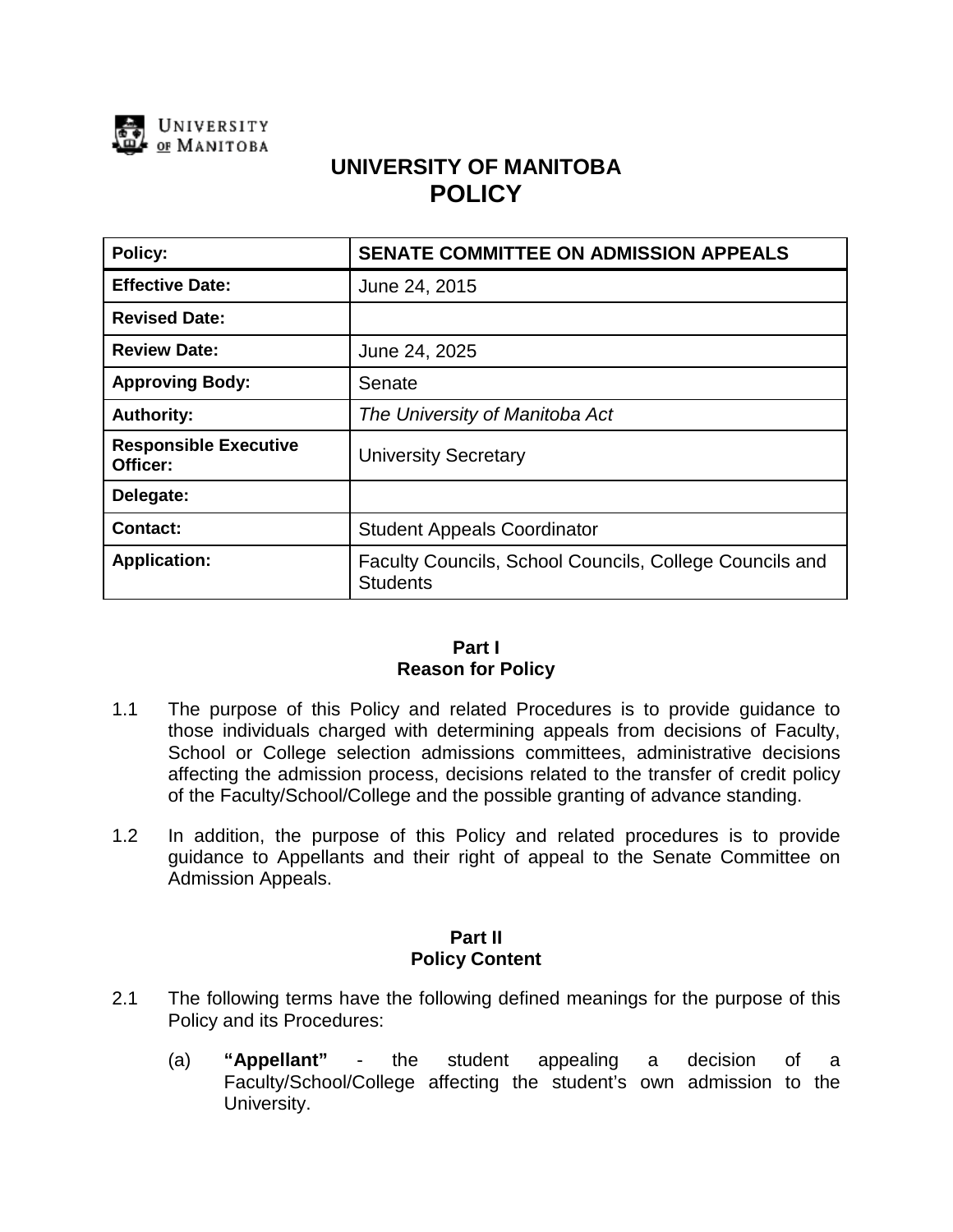

# **UNIVERSITY OF MANITOBA POLICY**

| <b>Policy:</b>                           | <b>SENATE COMMITTEE ON ADMISSION APPEALS</b>                               |
|------------------------------------------|----------------------------------------------------------------------------|
| <b>Effective Date:</b>                   | June 24, 2015                                                              |
| <b>Revised Date:</b>                     |                                                                            |
| <b>Review Date:</b>                      | June 24, 2025                                                              |
| <b>Approving Body:</b>                   | Senate                                                                     |
| <b>Authority:</b>                        | The University of Manitoba Act                                             |
| <b>Responsible Executive</b><br>Officer: | <b>University Secretary</b>                                                |
| Delegate:                                |                                                                            |
| <b>Contact:</b>                          | <b>Student Appeals Coordinator</b>                                         |
| <b>Application:</b>                      | Faculty Councils, School Councils, College Councils and<br><b>Students</b> |

#### **Part I Reason for Policy**

- 1.1 The purpose of this Policy and related Procedures is to provide guidance to those individuals charged with determining appeals from decisions of Faculty, School or College selection admissions committees, administrative decisions affecting the admission process, decisions related to the transfer of credit policy of the Faculty/School/College and the possible granting of advance standing.
- 1.2 In addition, the purpose of this Policy and related procedures is to provide guidance to Appellants and their right of appeal to the Senate Committee on Admission Appeals.

### **Part II Policy Content**

- 2.1 The following terms have the following defined meanings for the purpose of this Policy and its Procedures:
	- (a) **"Appellant"** the student appealing a decision of a Faculty/School/College affecting the student's own admission to the University.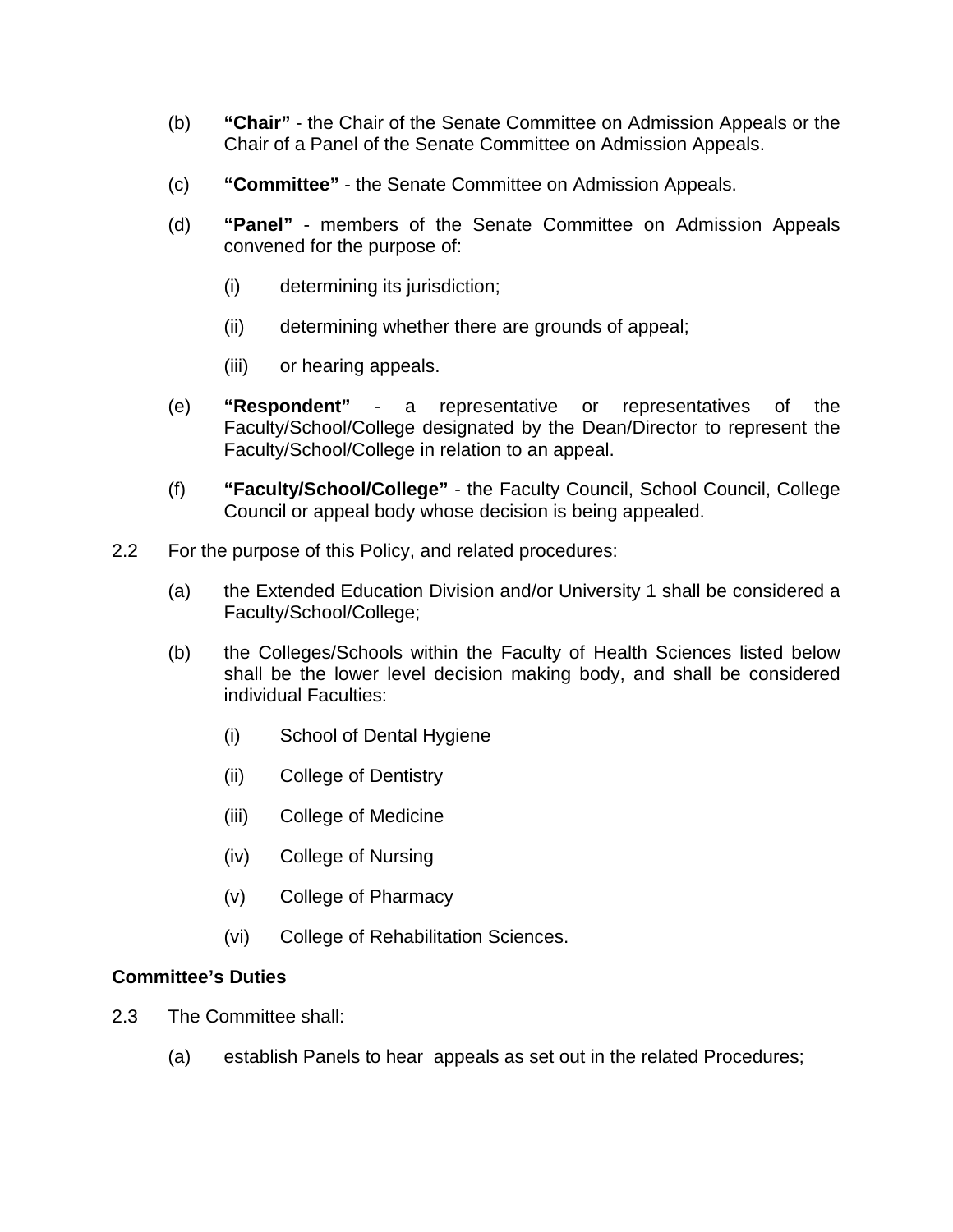- (b) **"Chair"** the Chair of the Senate Committee on Admission Appeals or the Chair of a Panel of the Senate Committee on Admission Appeals.
- (c) **"Committee"** the Senate Committee on Admission Appeals.
- (d) **"Panel"**  members of the Senate Committee on Admission Appeals convened for the purpose of:
	- (i) determining its jurisdiction;
	- (ii) determining whether there are grounds of appeal;
	- (iii) or hearing appeals.
- (e) **"Respondent"** a representative or representatives of the Faculty/School/College designated by the Dean/Director to represent the Faculty/School/College in relation to an appeal.
- (f) **"Faculty/School/College"** the Faculty Council, School Council, College Council or appeal body whose decision is being appealed.
- 2.2 For the purpose of this Policy, and related procedures:
	- (a) the Extended Education Division and/or University 1 shall be considered a Faculty/School/College;
	- (b) the Colleges/Schools within the Faculty of Health Sciences listed below shall be the lower level decision making body, and shall be considered individual Faculties:
		- (i) School of Dental Hygiene
		- (ii) College of Dentistry
		- (iii) College of Medicine
		- (iv) College of Nursing
		- (v) College of Pharmacy
		- (vi) College of Rehabilitation Sciences.

## **Committee's Duties**

- 2.3 The Committee shall:
	- (a) establish Panels to hear appeals as set out in the related Procedures;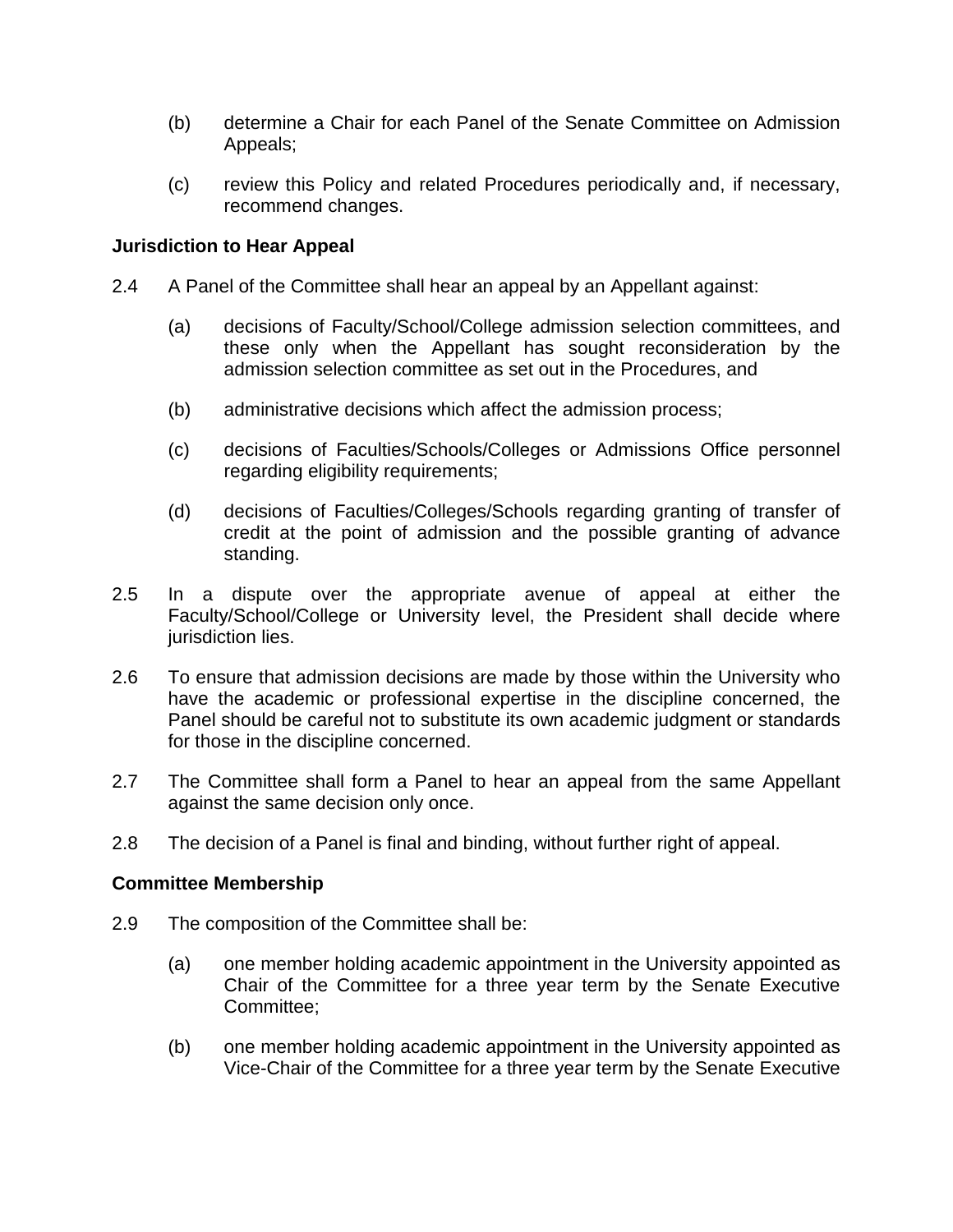- (b) determine a Chair for each Panel of the Senate Committee on Admission Appeals;
- (c) review this Policy and related Procedures periodically and, if necessary, recommend changes.

## **Jurisdiction to Hear Appeal**

- 2.4 A Panel of the Committee shall hear an appeal by an Appellant against:
	- (a) decisions of Faculty/School/College admission selection committees, and these only when the Appellant has sought reconsideration by the admission selection committee as set out in the Procedures, and
	- (b) administrative decisions which affect the admission process;
	- (c) decisions of Faculties/Schools/Colleges or Admissions Office personnel regarding eligibility requirements;
	- (d) decisions of Faculties/Colleges/Schools regarding granting of transfer of credit at the point of admission and the possible granting of advance standing.
- 2.5 In a dispute over the appropriate avenue of appeal at either the Faculty/School/College or University level, the President shall decide where jurisdiction lies.
- 2.6 To ensure that admission decisions are made by those within the University who have the academic or professional expertise in the discipline concerned, the Panel should be careful not to substitute its own academic judgment or standards for those in the discipline concerned.
- 2.7 The Committee shall form a Panel to hear an appeal from the same Appellant against the same decision only once.
- 2.8 The decision of a Panel is final and binding, without further right of appeal.

## **Committee Membership**

- 2.9 The composition of the Committee shall be:
	- (a) one member holding academic appointment in the University appointed as Chair of the Committee for a three year term by the Senate Executive Committee;
	- (b) one member holding academic appointment in the University appointed as Vice-Chair of the Committee for a three year term by the Senate Executive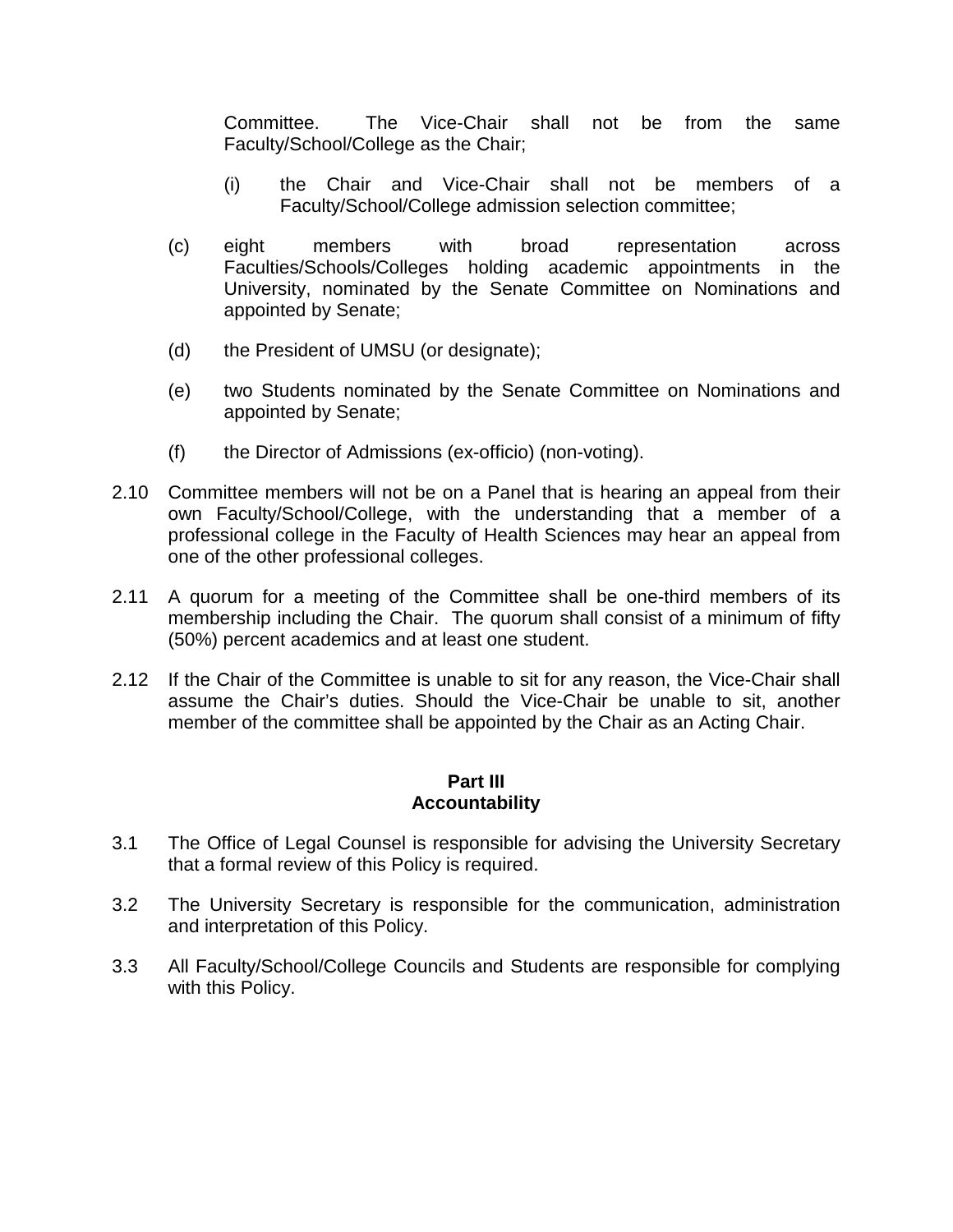Committee. The Vice-Chair shall not be from the same Faculty/School/College as the Chair;

- (i) the Chair and Vice-Chair shall not be members of a Faculty/School/College admission selection committee;
- (c) eight members with broad representation across Faculties/Schools/Colleges holding academic appointments in the University, nominated by the Senate Committee on Nominations and appointed by Senate;
- (d) the President of UMSU (or designate);
- (e) two Students nominated by the Senate Committee on Nominations and appointed by Senate;
- (f) the Director of Admissions (ex-officio) (non-voting).
- 2.10 Committee members will not be on a Panel that is hearing an appeal from their own Faculty/School/College, with the understanding that a member of a professional college in the Faculty of Health Sciences may hear an appeal from one of the other professional colleges.
- 2.11 A quorum for a meeting of the Committee shall be one-third members of its membership including the Chair. The quorum shall consist of a minimum of fifty (50%) percent academics and at least one student.
- 2.12 If the Chair of the Committee is unable to sit for any reason, the Vice-Chair shall assume the Chair's duties. Should the Vice-Chair be unable to sit, another member of the committee shall be appointed by the Chair as an Acting Chair.

### **Part III Accountability**

- 3.1 The Office of Legal Counsel is responsible for advising the University Secretary that a formal review of this Policy is required.
- 3.2 The University Secretary is responsible for the communication, administration and interpretation of this Policy.
- 3.3 All Faculty/School/College Councils and Students are responsible for complying with this Policy.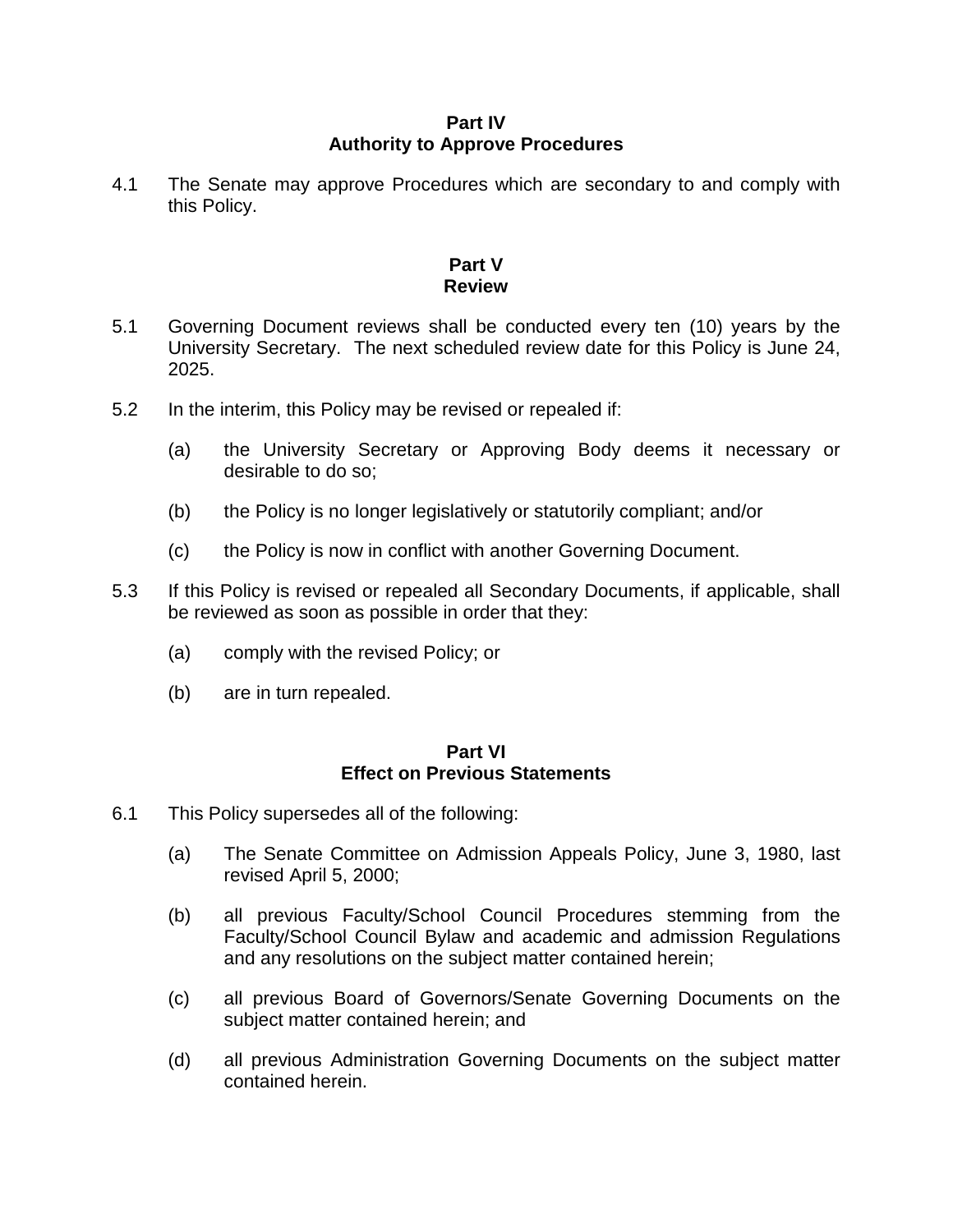### **Part IV Authority to Approve Procedures**

4.1 The Senate may approve Procedures which are secondary to and comply with this Policy.

## **Part V Review**

- 5.1 Governing Document reviews shall be conducted every ten (10) years by the University Secretary. The next scheduled review date for this Policy is June 24, 2025.
- 5.2 In the interim, this Policy may be revised or repealed if:
	- (a) the University Secretary or Approving Body deems it necessary or desirable to do so;
	- (b) the Policy is no longer legislatively or statutorily compliant; and/or
	- (c) the Policy is now in conflict with another Governing Document.
- 5.3 If this Policy is revised or repealed all Secondary Documents, if applicable, shall be reviewed as soon as possible in order that they:
	- (a) comply with the revised Policy; or
	- (b) are in turn repealed.

### **Part VI Effect on Previous Statements**

- 6.1 This Policy supersedes all of the following:
	- (a) The Senate Committee on Admission Appeals Policy, June 3, 1980, last revised April 5, 2000;
	- (b) all previous Faculty/School Council Procedures stemming from the Faculty/School Council Bylaw and academic and admission Regulations and any resolutions on the subject matter contained herein;
	- (c) all previous Board of Governors/Senate Governing Documents on the subject matter contained herein; and
	- (d) all previous Administration Governing Documents on the subject matter contained herein.